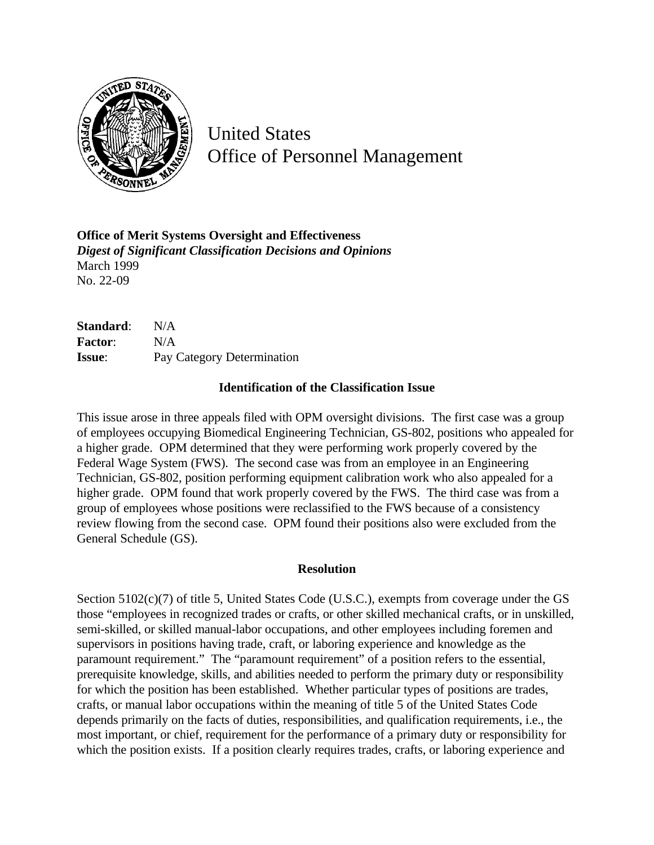

United States Office of Personnel Management

**Office of Merit Systems Oversight and Effectiveness** *Digest of Significant Classification Decisions and Opinions* March 1999 No. 22-09

| Standard:      | N/A                        |
|----------------|----------------------------|
| <b>Factor:</b> | N/A                        |
| <b>Issue:</b>  | Pay Category Determination |

## **Identification of the Classification Issue**

This issue arose in three appeals filed with OPM oversight divisions. The first case was a group of employees occupying Biomedical Engineering Technician, GS-802, positions who appealed for a higher grade. OPM determined that they were performing work properly covered by the Federal Wage System (FWS). The second case was from an employee in an Engineering Technician, GS-802, position performing equipment calibration work who also appealed for a higher grade. OPM found that work properly covered by the FWS. The third case was from a group of employees whose positions were reclassified to the FWS because of a consistency review flowing from the second case. OPM found their positions also were excluded from the General Schedule (GS).

## **Resolution**

Section 5102(c)(7) of title 5, United States Code (U.S.C.), exempts from coverage under the GS those "employees in recognized trades or crafts, or other skilled mechanical crafts, or in unskilled, semi-skilled, or skilled manual-labor occupations, and other employees including foremen and supervisors in positions having trade, craft, or laboring experience and knowledge as the paramount requirement." The "paramount requirement" of a position refers to the essential, prerequisite knowledge, skills, and abilities needed to perform the primary duty or responsibility for which the position has been established. Whether particular types of positions are trades, crafts, or manual labor occupations within the meaning of title 5 of the United States Code depends primarily on the facts of duties, responsibilities, and qualification requirements, i.e., the most important, or chief, requirement for the performance of a primary duty or responsibility for which the position exists. If a position clearly requires trades, crafts, or laboring experience and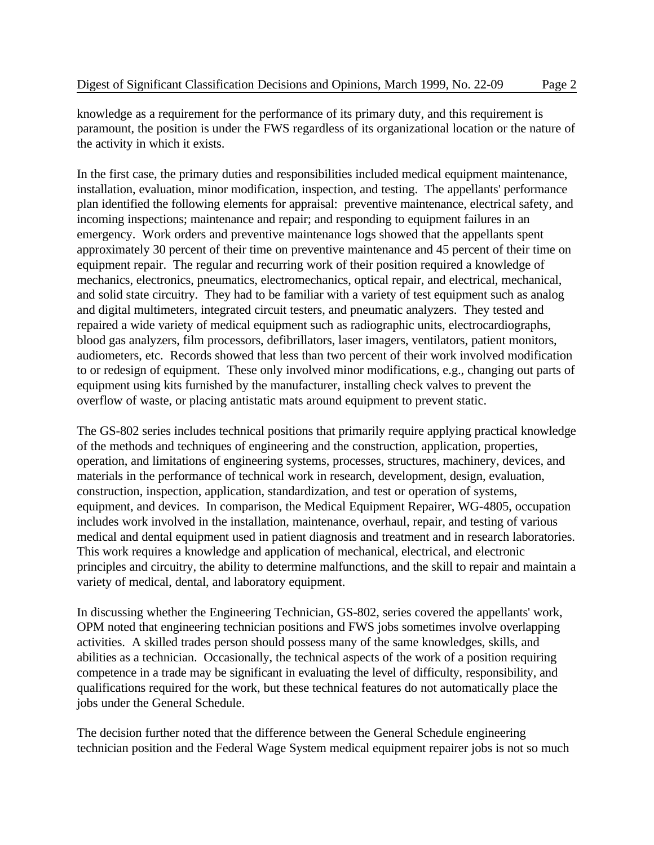knowledge as a requirement for the performance of its primary duty, and this requirement is paramount, the position is under the FWS regardless of its organizational location or the nature of the activity in which it exists.

In the first case, the primary duties and responsibilities included medical equipment maintenance, installation, evaluation, minor modification, inspection, and testing. The appellants' performance plan identified the following elements for appraisal: preventive maintenance, electrical safety, and incoming inspections; maintenance and repair; and responding to equipment failures in an emergency. Work orders and preventive maintenance logs showed that the appellants spent approximately 30 percent of their time on preventive maintenance and 45 percent of their time on equipment repair. The regular and recurring work of their position required a knowledge of mechanics, electronics, pneumatics, electromechanics, optical repair, and electrical, mechanical, and solid state circuitry. They had to be familiar with a variety of test equipment such as analog and digital multimeters, integrated circuit testers, and pneumatic analyzers. They tested and repaired a wide variety of medical equipment such as radiographic units, electrocardiographs, blood gas analyzers, film processors, defibrillators, laser imagers, ventilators, patient monitors, audiometers, etc. Records showed that less than two percent of their work involved modification to or redesign of equipment. These only involved minor modifications, e.g., changing out parts of equipment using kits furnished by the manufacturer, installing check valves to prevent the overflow of waste, or placing antistatic mats around equipment to prevent static.

The GS-802 series includes technical positions that primarily require applying practical knowledge of the methods and techniques of engineering and the construction, application, properties, operation, and limitations of engineering systems, processes, structures, machinery, devices, and materials in the performance of technical work in research, development, design, evaluation, construction, inspection, application, standardization, and test or operation of systems, equipment, and devices. In comparison, the Medical Equipment Repairer, WG-4805, occupation includes work involved in the installation, maintenance, overhaul, repair, and testing of various medical and dental equipment used in patient diagnosis and treatment and in research laboratories. This work requires a knowledge and application of mechanical, electrical, and electronic principles and circuitry, the ability to determine malfunctions, and the skill to repair and maintain a variety of medical, dental, and laboratory equipment.

In discussing whether the Engineering Technician, GS-802, series covered the appellants' work, OPM noted that engineering technician positions and FWS jobs sometimes involve overlapping activities. A skilled trades person should possess many of the same knowledges, skills, and abilities as a technician. Occasionally, the technical aspects of the work of a position requiring competence in a trade may be significant in evaluating the level of difficulty, responsibility, and qualifications required for the work, but these technical features do not automatically place the jobs under the General Schedule.

The decision further noted that the difference between the General Schedule engineering technician position and the Federal Wage System medical equipment repairer jobs is not so much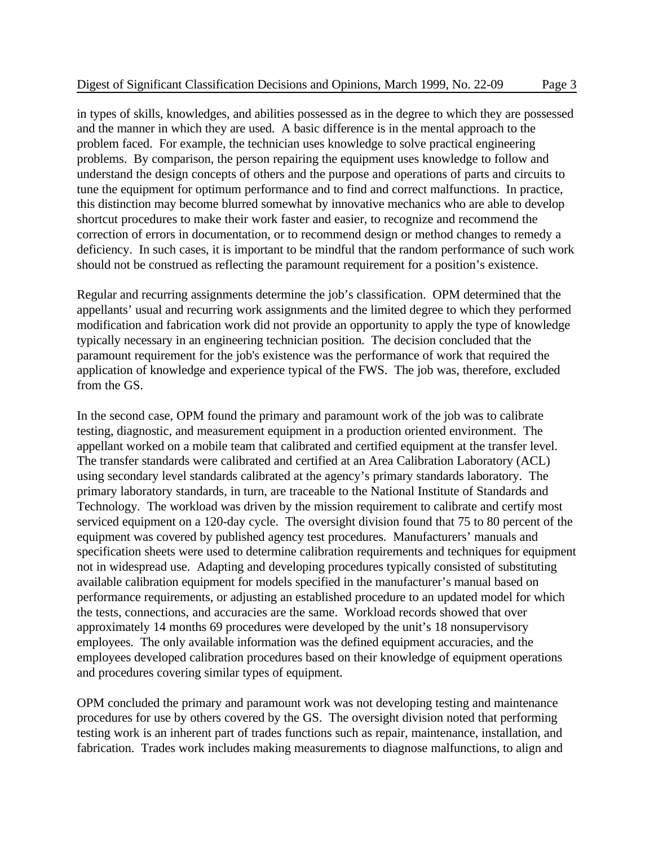in types of skills, knowledges, and abilities possessed as in the degree to which they are possessed and the manner in which they are used. A basic difference is in the mental approach to the problem faced. For example, the technician uses knowledge to solve practical engineering problems. By comparison, the person repairing the equipment uses knowledge to follow and understand the design concepts of others and the purpose and operations of parts and circuits to tune the equipment for optimum performance and to find and correct malfunctions. In practice, this distinction may become blurred somewhat by innovative mechanics who are able to develop shortcut procedures to make their work faster and easier, to recognize and recommend the correction of errors in documentation, or to recommend design or method changes to remedy a deficiency. In such cases, it is important to be mindful that the random performance of such work should not be construed as reflecting the paramount requirement for a position's existence.

Regular and recurring assignments determine the job's classification. OPM determined that the appellants' usual and recurring work assignments and the limited degree to which they performed modification and fabrication work did not provide an opportunity to apply the type of knowledge typically necessary in an engineering technician position. The decision concluded that the paramount requirement for the job's existence was the performance of work that required the application of knowledge and experience typical of the FWS. The job was, therefore, excluded from the GS.

In the second case, OPM found the primary and paramount work of the job was to calibrate testing, diagnostic, and measurement equipment in a production oriented environment. The appellant worked on a mobile team that calibrated and certified equipment at the transfer level. The transfer standards were calibrated and certified at an Area Calibration Laboratory (ACL) using secondary level standards calibrated at the agency's primary standards laboratory. The primary laboratory standards, in turn, are traceable to the National Institute of Standards and Technology. The workload was driven by the mission requirement to calibrate and certify most serviced equipment on a 120-day cycle. The oversight division found that 75 to 80 percent of the equipment was covered by published agency test procedures. Manufacturers' manuals and specification sheets were used to determine calibration requirements and techniques for equipment not in widespread use. Adapting and developing procedures typically consisted of substituting available calibration equipment for models specified in the manufacturer's manual based on performance requirements, or adjusting an established procedure to an updated model for which the tests, connections, and accuracies are the same. Workload records showed that over approximately 14 months 69 procedures were developed by the unit's 18 nonsupervisory employees. The only available information was the defined equipment accuracies, and the employees developed calibration procedures based on their knowledge of equipment operations and procedures covering similar types of equipment.

OPM concluded the primary and paramount work was not developing testing and maintenance procedures for use by others covered by the GS. The oversight division noted that performing testing work is an inherent part of trades functions such as repair, maintenance, installation, and fabrication. Trades work includes making measurements to diagnose malfunctions, to align and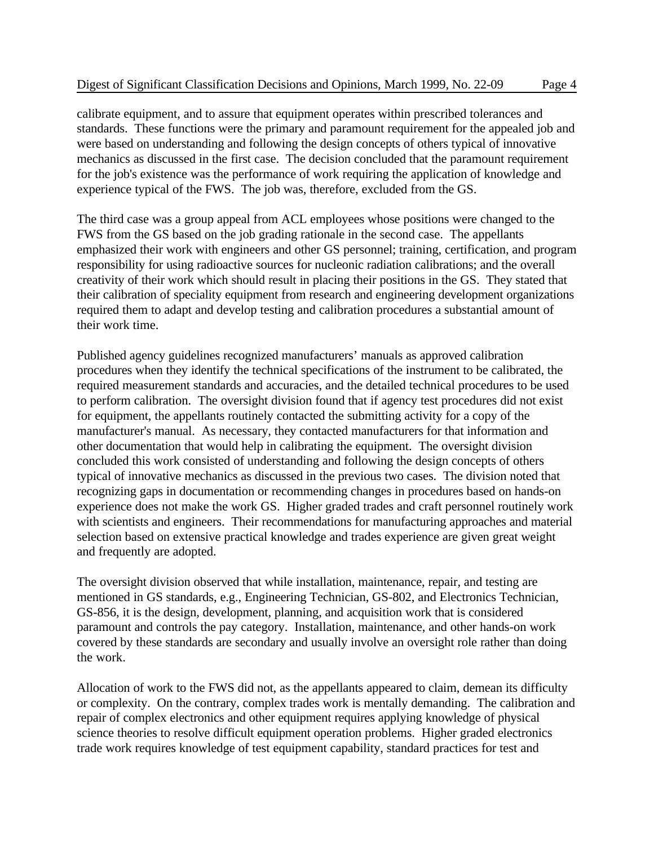calibrate equipment, and to assure that equipment operates within prescribed tolerances and standards. These functions were the primary and paramount requirement for the appealed job and were based on understanding and following the design concepts of others typical of innovative mechanics as discussed in the first case. The decision concluded that the paramount requirement for the job's existence was the performance of work requiring the application of knowledge and experience typical of the FWS. The job was, therefore, excluded from the GS.

The third case was a group appeal from ACL employees whose positions were changed to the FWS from the GS based on the job grading rationale in the second case. The appellants emphasized their work with engineers and other GS personnel; training, certification, and program responsibility for using radioactive sources for nucleonic radiation calibrations; and the overall creativity of their work which should result in placing their positions in the GS. They stated that their calibration of speciality equipment from research and engineering development organizations required them to adapt and develop testing and calibration procedures a substantial amount of their work time.

Published agency guidelines recognized manufacturers' manuals as approved calibration procedures when they identify the technical specifications of the instrument to be calibrated, the required measurement standards and accuracies, and the detailed technical procedures to be used to perform calibration. The oversight division found that if agency test procedures did not exist for equipment, the appellants routinely contacted the submitting activity for a copy of the manufacturer's manual. As necessary, they contacted manufacturers for that information and other documentation that would help in calibrating the equipment. The oversight division concluded this work consisted of understanding and following the design concepts of others typical of innovative mechanics as discussed in the previous two cases. The division noted that recognizing gaps in documentation or recommending changes in procedures based on hands-on experience does not make the work GS. Higher graded trades and craft personnel routinely work with scientists and engineers. Their recommendations for manufacturing approaches and material selection based on extensive practical knowledge and trades experience are given great weight and frequently are adopted.

The oversight division observed that while installation, maintenance, repair, and testing are mentioned in GS standards, e.g., Engineering Technician, GS-802, and Electronics Technician, GS-856, it is the design, development, planning, and acquisition work that is considered paramount and controls the pay category. Installation, maintenance, and other hands-on work covered by these standards are secondary and usually involve an oversight role rather than doing the work.

Allocation of work to the FWS did not, as the appellants appeared to claim, demean its difficulty or complexity. On the contrary, complex trades work is mentally demanding. The calibration and repair of complex electronics and other equipment requires applying knowledge of physical science theories to resolve difficult equipment operation problems. Higher graded electronics trade work requires knowledge of test equipment capability, standard practices for test and